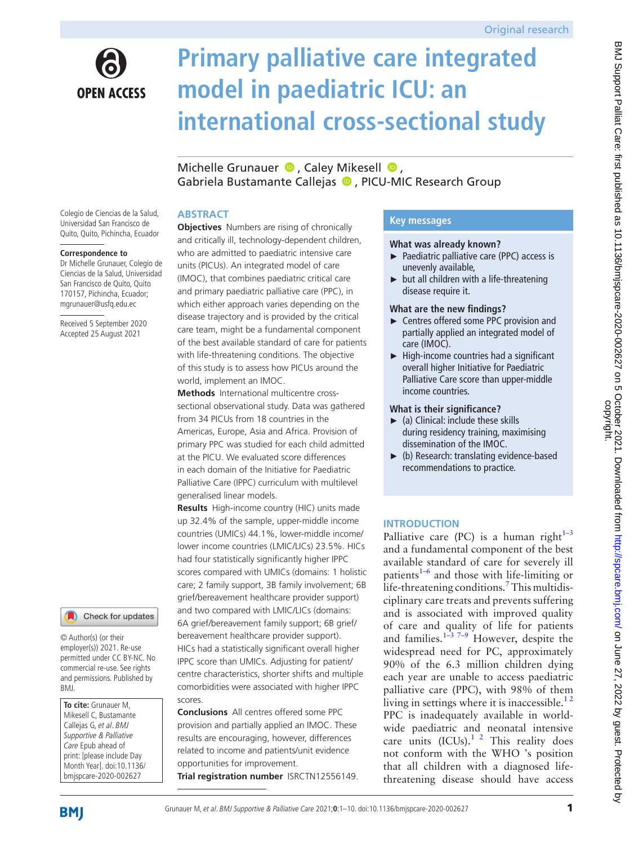

# **Primary palliative care integrated model in paediatric ICU: an international cross-sectional study**

MichelleGrunauer  $\bullet$ , Caley Mikesell  $\bullet$ , Gabriela Bustamante Calleias <sup>(D</sup>, PICU-MIC Research Group

## **ABSTRACT**

Colegio de Ciencias de la Salud, Universidad San Francisco de Quito, Quito, Pichincha, Ecuador

#### **Correspondence to**

Dr Michelle Grunauer, Colegio de Ciencias de la Salud, Universidad San Francisco de Quito, Quito 170157, Pichincha, Ecuador; mgrunauer@usfq.edu.ec

Received 5 September 2020 Accepted 25 August 2021



© Author(s) (or their employer(s)) 2021. Re-use permitted under CC BY-NC. No commercial re-use. See rights and permissions. Published by BMJ.

**To cite:** Grunauer M, Mikesell C, Bustamante Callejas G, et al. BMJ Supportive & Palliative Care Epub ahead of print: [please include Day Month Year]. doi:10.1136/ bmjspcare-2020-002627

**Objectives** Numbers are rising of chronically and critically ill, technology-dependent children, who are admitted to paediatric intensive care units (PICUs). An integrated model of care (IMOC), that combines paediatric critical care and primary paediatric palliative care (PPC), in which either approach varies depending on the disease trajectory and is provided by the critical care team, might be a fundamental component of the best available standard of care for patients with life-threatening conditions. The objective of this study is to assess how PICUs around the world, implement an IMOC.

**Methods** International multicentre crosssectional observational study. Data was gathered from 34 PICUs from 18 countries in the Americas, Europe, Asia and Africa. Provision of primary PPC was studied for each child admitted at the PICU. We evaluated score differences in each domain of the Initiative for Paediatric Palliative Care (IPPC) curriculum with multilevel generalised linear models.

**Results** High-income country (HIC) units made up 32.4% of the sample, upper-middle income countries (UMICs) 44.1%, lower-middle income/ lower income countries (LMIC/LICs) 23.5%. HICs had four statistically significantly higher IPPC scores compared with UMICs (domains: 1 holistic care; 2 family support, 3B family involvement; 6B grief/bereavement healthcare provider support) and two compared with LMIC/LICs (domains: 6A grief/bereavement family support; 6B grief/ bereavement healthcare provider support). HICs had a statistically significant overall higher IPPC score than UMICs. Adjusting for patient/ centre characteristics, shorter shifts and multiple comorbidities were associated with higher IPPC scores.

**Conclusions** All centres offered some PPC provision and partially applied an IMOC. These results are encouraging, however, differences related to income and patients/unit evidence opportunities for improvement. **Trial registration number** <ISRCTN12556149>.

# **Key messages**

#### **What was already known?**

- ► Paediatric palliative care (PPC) access is unevenly available,
- ► but all children with a life-threatening disease require it.

## **What are the new findings?**

- ► Centres offered some PPC provision and partially applied an integrated model of care (IMOC).
- $\blacktriangleright$  High-income countries had a significant overall higher Initiative for Paediatric Palliative Care score than upper-middle income countries.

## **What is their significance?**

- $\blacktriangleright$  (a) Clinical: include these skills during residency training, maximising dissemination of the IMOC.
- ► (b) Research: translating evidence-based recommendations to practice.

# **INTRODUCTION**

Palliative care (PC) is a human right<sup> $1-3$ </sup> and a fundamental component of the best available standard of care for severely ill patients $1-6$  and those with life-limiting or life-threatening conditions.<sup>7</sup> This multidisciplinary care treats and prevents suffering and is associated with improved quality of care and quality of life for patients and families. $1-3$ <sup>7-9</sup> However, despite the widespread need for PC, approximately 90% of the 6.3 million children dying each year are unable to access paediatric palliative care (PPC), with 98% of them living in settings where it is inaccessible. $1<sup>2</sup>$ PPC is inadequately available in worldwide paediatric and neonatal intensive care units  $(ICUs).<sup>1</sup>$  <sup>2</sup> This reality does not conform with the WHO 's position that all children with a diagnosed lifethreatening disease should have access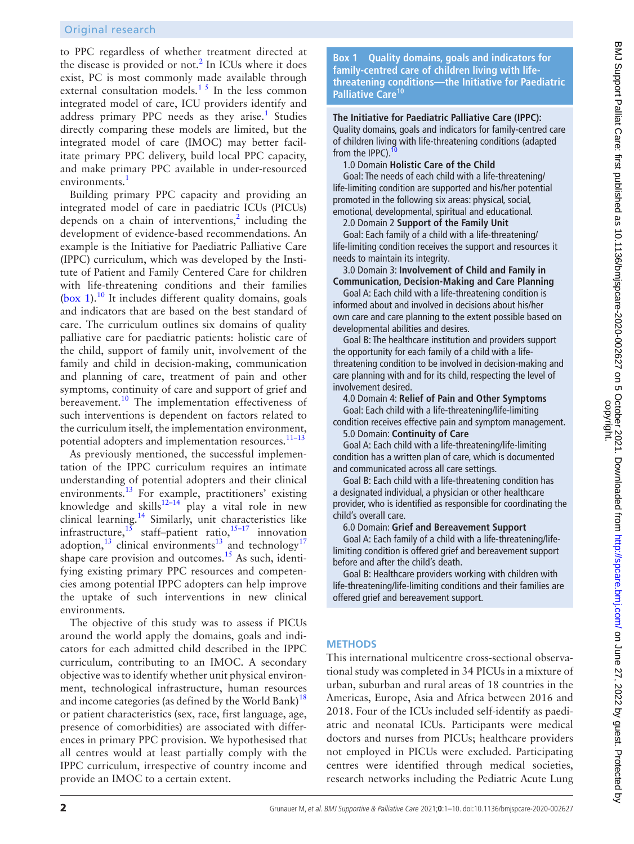to PPC regardless of whether treatment directed at the disease is provided or not.<sup>[2](#page-8-2)</sup> In ICUs where it does exist, PC is most commonly made available through external consultation models. $1<sup>5</sup>$  In the less common integrated model of care, ICU providers identify and address primary PPC needs as they arise.<sup>[1](#page-8-0)</sup> Studies directly comparing these models are limited, but the integrated model of care (IMOC) may better facilitate primary PPC delivery, build local PPC capacity, and make primary PPC available in under-resourced environments.<sup>[1](#page-8-0)</sup>

Building primary PPC capacity and providing an integrated model of care in paediatric ICUs (PICUs) depends on a chain of interventions, $<sup>2</sup>$  $<sup>2</sup>$  $<sup>2</sup>$  including the</sup> development of evidence-based recommendations. An example is the Initiative for Paediatric Palliative Care (IPPC) curriculum, which was developed by the Institute of Patient and Family Centered Care for children with life-threatening conditions and their families ([box](#page-1-0) 1).<sup>10</sup> It includes different quality domains, goals and indicators that are based on the best standard of care. The curriculum outlines six domains of quality palliative care for paediatric patients: holistic care of the child, support of family unit, involvement of the family and child in decision-making, communication and planning of care, treatment of pain and other symptoms, continuity of care and support of grief and bereavement.<sup>[10](#page-8-3)</sup> The implementation effectiveness of such interventions is dependent on factors related to the curriculum itself, the implementation environment, potential adopters and implementation resources.<sup>11-13</sup>

As previously mentioned, the successful implementation of the IPPC curriculum requires an intimate understanding of potential adopters and their clinical environments.[13](#page-8-5) For example, practitioners' existing knowledge and skills<sup>12-14</sup> play a vital role in new clinical learning.<sup>14</sup> Similarly, unit characteristics like infrastructure,  $15$  staff–patient ratio,  $15-17$  innovation adoption,<sup>[13](#page-8-5)</sup> clinical environments<sup>13</sup> and technology<sup>17</sup> shape care provision and outcomes. $15$  As such, identifying existing primary PPC resources and competencies among potential IPPC adopters can help improve the uptake of such interventions in new clinical environments.

The objective of this study was to assess if PICUs around the world apply the domains, goals and indicators for each admitted child described in the IPPC curriculum, contributing to an IMOC. A secondary objective was to identify whether unit physical environment, technological infrastructure, human resources and income categories (as defined by the World Bank)<sup>18</sup> or patient characteristics (sex, race, first language, age, presence of comorbidities) are associated with differences in primary PPC provision. We hypothesised that all centres would at least partially comply with the IPPC curriculum, irrespective of country income and provide an IMOC to a certain extent.

**Box 1 Quality domains, goals and indicators for family-centred care of children living with lifethreatening conditions—the Initiative for Paediatric Palliative Care[10](#page-8-3)**

<span id="page-1-0"></span>**The Initiative for Paediatric Palliative Care (IPPC):**

Quality domains, goals and indicators for family-centred care of children living with life-threatening conditions (adapted from the IPPC).

1.0 Domain **Holistic Care of the Child**

Goal: The needs of each child with a life-threatening/ life-limiting condition are supported and his/her potential promoted in the following six areas: physical, social, emotional, developmental, spiritual and educational.

2.0 Domain 2 **Support of the Family Unit**

Goal: Each family of a child with a life-threatening/ life-limiting condition receives the support and resources it needs to maintain its integrity.

3.0 Domain 3: **Involvement of Child and Family in Communication, Decision-Making and Care Planning**

Goal A: Each child with a life-threatening condition is informed about and involved in decisions about his/her own care and care planning to the extent possible based on developmental abilities and desires.

Goal B: The healthcare institution and providers support the opportunity for each family of a child with a lifethreatening condition to be involved in decision-making and care planning with and for its child, respecting the level of involvement desired.

4.0 Domain 4: **Relief of Pain and Other Symptoms**

Goal: Each child with a life-threatening/life-limiting condition receives effective pain and symptom management.

5.0 Domain: **Continuity of Care**

Goal A: Each child with a life-threatening/life-limiting condition has a written plan of care, which is documented and communicated across all care settings.

Goal B: Each child with a life-threatening condition has a designated individual, a physician or other healthcare provider, who is identified as responsible for coordinating the child's overall care.

#### 6.0 Domain: **Grief and Bereavement Support**

Goal A: Each family of a child with a life-threatening/lifelimiting condition is offered grief and bereavement support before and after the child's death.

Goal B: Healthcare providers working with children with life-threatening/life-limiting conditions and their families are offered grief and bereavement support.

## **METHODS**

This international multicentre cross-sectional observational study was completed in 34 PICUs in a mixture of urban, suburban and rural areas of 18 countries in the Americas, Europe, Asia and Africa between 2016 and 2018. Four of the ICUs included self-identify as paediatric and neonatal ICUs. Participants were medical doctors and nurses from PICUs; healthcare providers not employed in PICUs were excluded. Participating centres were identified through medical societies, research networks including the Pediatric Acute Lung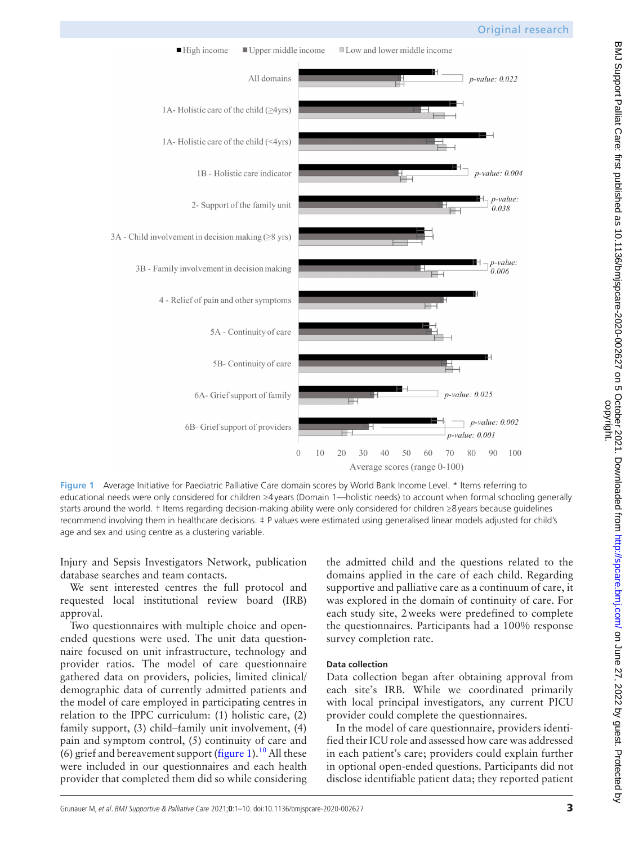

<span id="page-2-0"></span>**Figure 1** Average Initiative for Paediatric Palliative Care domain scores by World Bank Income Level. \* Items referring to educational needs were only considered for children ≥4years (Domain 1—holistic needs) to account when formal schooling generally starts around the world. † Items regarding decision-making ability were only considered for children ≥8years because guidelines recommend involving them in healthcare decisions. ‡ P values were estimated using generalised linear models adjusted for child's age and sex and using centre as a clustering variable.

Injury and Sepsis Investigators Network, publication database searches and team contacts.

We sent interested centres the full protocol and requested local institutional review board (IRB) approval.

Two questionnaires with multiple choice and openended questions were used. The unit data questionnaire focused on unit infrastructure, technology and provider ratios. The model of care questionnaire gathered data on providers, policies, limited clinical/ demographic data of currently admitted patients and the model of care employed in participating centres in relation to the IPPC curriculum: (1) holistic care, (2) family support, (3) child–family unit involvement, (4) pain and symptom control, (5) continuity of care and (6) grief and bereavement support [\(figure](#page-2-0) 1).<sup>10</sup> All these were included in our questionnaires and each health provider that completed them did so while considering

the admitted child and the questions related to the domains applied in the care of each child. Regarding supportive and palliative care as a continuum of care, it was explored in the domain of continuity of care. For each study site, 2weeks were predefined to complete the questionnaires. Participants had a 100% response survey completion rate.

# **Data collection**

Data collection began after obtaining approval from each site's IRB. While we coordinated primarily with local principal investigators, any current PICU provider could complete the questionnaires.

In the model of care questionnaire, providers identified their ICU role and assessed how care was addressed in each patient's care; providers could explain further in optional open-ended questions. Participants did not disclose identifiable patient data; they reported patient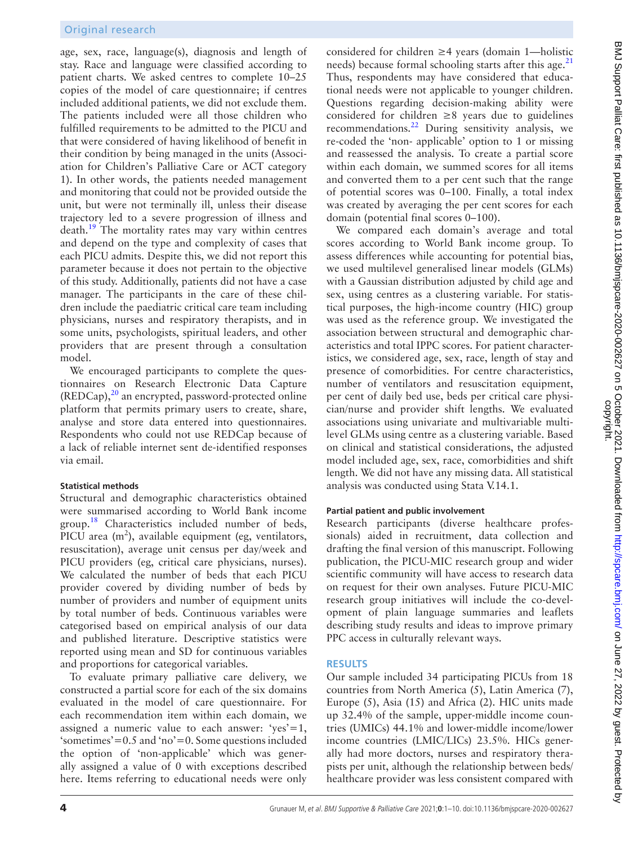age, sex, race, language(s), diagnosis and length of stay. Race and language were classified according to patient charts. We asked centres to complete 10–25 copies of the model of care questionnaire; if centres included additional patients, we did not exclude them. The patients included were all those children who fulfilled requirements to be admitted to the PICU and that were considered of having likelihood of benefit in their condition by being managed in the units (Association for Children's Palliative Care or ACT category 1). In other words, the patients needed management and monitoring that could not be provided outside the unit, but were not terminally ill, unless their disease trajectory led to a severe progression of illness and  $death.<sup>19</sup>$  $death.<sup>19</sup>$  $death.<sup>19</sup>$  The mortality rates may vary within centres and depend on the type and complexity of cases that each PICU admits. Despite this, we did not report this parameter because it does not pertain to the objective of this study. Additionally, patients did not have a case manager. The participants in the care of these children include the paediatric critical care team including physicians, nurses and respiratory therapists, and in some units, psychologists, spiritual leaders, and other providers that are present through a consultation model.

We encouraged participants to complete the questionnaires on Research Electronic Data Capture (REDCap),<sup>20</sup> an encrypted, password-protected online platform that permits primary users to create, share, analyse and store data entered into questionnaires. Respondents who could not use REDCap because of a lack of reliable internet sent de-identified responses via email.

#### **Statistical methods**

Structural and demographic characteristics obtained were summarised according to World Bank income group.<sup>[18](#page-9-0)</sup> Characteristics included number of beds, PICU area  $(m^2)$ , available equipment (eg, ventilators, resuscitation), average unit census per day/week and PICU providers (eg, critical care physicians, nurses). We calculated the number of beds that each PICU provider covered by dividing number of beds by number of providers and number of equipment units by total number of beds. Continuous variables were categorised based on empirical analysis of our data and published literature. Descriptive statistics were reported using mean and SD for continuous variables and proportions for categorical variables.

To evaluate primary palliative care delivery, we constructed a partial score for each of the six domains evaluated in the model of care questionnaire. For each recommendation item within each domain, we assigned a numeric value to each answer: ' $yes'=1$ , 'sometimes'=0.5 and 'no'=0. Some questions included the option of 'non-applicable' which was generally assigned a value of 0 with exceptions described here. Items referring to educational needs were only

considered for children ≥4 years (domain 1—holistic needs) because formal schooling starts after this age. $^{21}$  $^{21}$  $^{21}$ Thus, respondents may have considered that educational needs were not applicable to younger children. Questions regarding decision-making ability were considered for children  $\geq$ 8 years due to guidelines recommendations.[22](#page-9-4) During sensitivity analysis, we re-coded the 'non- applicable' option to 1 or missing and reassessed the analysis. To create a partial score within each domain, we summed scores for all items and converted them to a per cent such that the range of potential scores was 0–100. Finally, a total index was created by averaging the per cent scores for each domain (potential final scores 0–100).

We compared each domain's average and total scores according to World Bank income group. To assess differences while accounting for potential bias, we used multilevel generalised linear models (GLMs) with a Gaussian distribution adjusted by child age and sex, using centres as a clustering variable. For statistical purposes, the high-income country (HIC) group was used as the reference group. We investigated the association between structural and demographic characteristics and total IPPC scores. For patient characteristics, we considered age, sex, race, length of stay and presence of comorbidities. For centre characteristics, number of ventilators and resuscitation equipment, per cent of daily bed use, beds per critical care physician/nurse and provider shift lengths. We evaluated associations using univariate and multivariable multilevel GLMs using centre as a clustering variable. Based on clinical and statistical considerations, the adjusted model included age, sex, race, comorbidities and shift length. We did not have any missing data. All statistical analysis was conducted using Stata V.14.1.

#### **Partial patient and public involvement**

Research participants (diverse healthcare professionals) aided in recruitment, data collection and drafting the final version of this manuscript. Following publication, the PICU-MIC research group and wider scientific community will have access to research data on request for their own analyses. Future PICU-MIC research group initiatives will include the co-development of plain language summaries and leaflets describing study results and ideas to improve primary PPC access in culturally relevant ways.

#### **RESULTS**

Our sample included 34 participating PICUs from 18 countries from North America (5), Latin America (7), Europe (5), Asia (15) and Africa (2). HIC units made up 32.4% of the sample, upper-middle income countries (UMICs) 44.1% and lower-middle income/lower income countries (LMIC/LICs) 23.5%. HICs generally had more doctors, nurses and respiratory therapists per unit, although the relationship between beds/ healthcare provider was less consistent compared with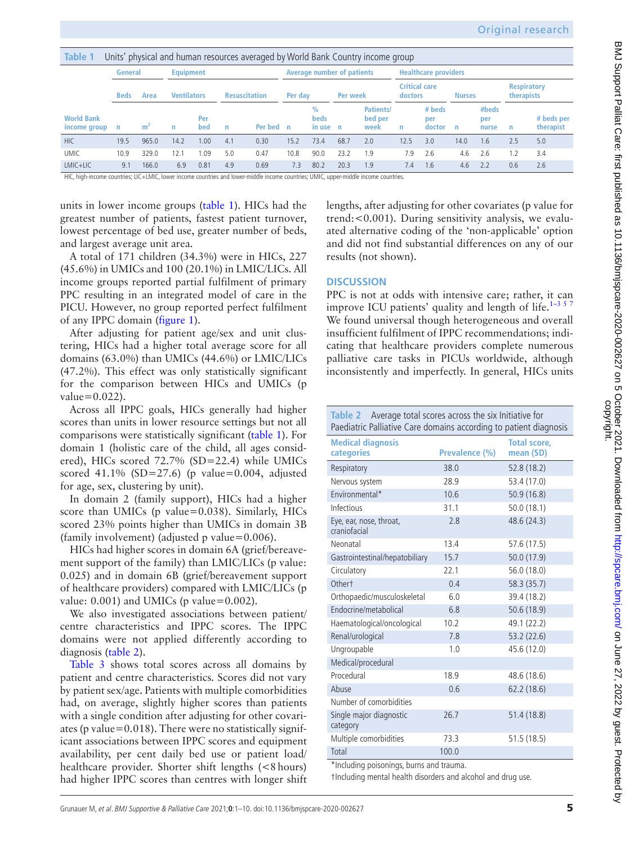<span id="page-4-0"></span>

| Table<br>Units' physical and human resources averaged by World Bank Country income group |             |                |                    |            |                      |                                   |              |                                          |          |                              |                                 |                         |               |                       |                                         |                         |
|------------------------------------------------------------------------------------------|-------------|----------------|--------------------|------------|----------------------|-----------------------------------|--------------|------------------------------------------|----------|------------------------------|---------------------------------|-------------------------|---------------|-----------------------|-----------------------------------------|-------------------------|
|                                                                                          | General     |                | <b>Equipment</b>   |            |                      | <b>Average number of patients</b> |              |                                          |          | <b>Healthcare providers</b>  |                                 |                         |               |                       |                                         |                         |
|                                                                                          | <b>Beds</b> | Area           | <b>Ventilators</b> |            | <b>Resuscitation</b> |                                   | Per day      |                                          | Per week |                              | <b>Critical care</b><br>doctors |                         | <b>Nurses</b> |                       | <b>Respiratory</b><br><b>therapists</b> |                         |
| <b>World Bank</b><br>income group                                                        | n           | m <sup>2</sup> | $\mathsf{n}$       | Per<br>bed | n                    | Per bed                           | $\mathsf{n}$ | $\frac{0}{0}$<br><b>beds</b><br>in use n |          | Patients/<br>bed per<br>week | n                               | # beds<br>per<br>doctor | n             | #beds<br>per<br>nurse | n                                       | # beds per<br>therapist |
| <b>HIC</b>                                                                               | 19.5        | 965.0          | 14.2               | 1.00       | 4.1                  | 0.30                              | 15.2         | 73.4                                     | 68.7     | 2.0                          | 12.5                            | 3.0                     | 14.0          | 1.6                   | 2.5                                     | 5.0                     |
| <b>UMIC</b>                                                                              | 10.9        | 329.0          | 12.1               | .09        | 5.0                  | 0.47                              | 10.8         | 90.0                                     | 23.2     | 1.9                          | 7.9                             | 2.6                     | 4.6           | 2.6                   | 1.2                                     | 3.4                     |
| $LMIC+LIC$                                                                               | 9.1         | 166.0          | 6.9                | 0.81       | 4.9                  | 0.69                              | 7.3          | 80.2                                     | 20.3     | 1.9                          | 7.4                             | 1.6                     | 4.6           | 2.2                   | 0.6                                     | 2.6                     |

HIC, high-income countries; LIC+LMIC, lower income countries and lower-middle income countries; UMIC, upper-middle income countries.

units in lower income groups ([table](#page-4-0) 1). HICs had the greatest number of patients, fastest patient turnover, lowest percentage of bed use, greater number of beds, and largest average unit area.

A total of 171 children (34.3%) were in HICs, 227 (45.6%) in UMICs and 100 (20.1%) in LMIC/LICs. All income groups reported partial fulfilment of primary PPC resulting in an integrated model of care in the PICU. However, no group reported perfect fulfilment of any IPPC domain [\(figure](#page-2-0) 1).

After adjusting for patient age/sex and unit clustering, HICs had a higher total average score for all domains (63.0%) than UMICs (44.6%) or LMIC/LICs (47.2%). This effect was only statistically significant for the comparison between HICs and UMICs (p  $value = 0.022$ ).

Across all IPPC goals, HICs generally had higher scores than units in lower resource settings but not all comparisons were statistically significant ([table](#page-4-0) 1). For domain 1 (holistic care of the child, all ages considered), HICs scored 72.7% (SD=22.4) while UMICs scored 41.1% (SD=27.6) (p value=0.004, adjusted for age, sex, clustering by unit).

In domain 2 (family support), HICs had a higher score than UMICs (p value=0.038). Similarly, HICs scored 23% points higher than UMICs in domain 3B (family involvement) (adjusted p value=0.006).

HICs had higher scores in domain 6A (grief/bereavement support of the family) than LMIC/LICs (p value: 0.025) and in domain 6B (grief/bereavement support of healthcare providers) compared with LMIC/LICs (p value:  $0.001$ ) and UMICs (p value= $0.002$ ).

We also investigated associations between patient/ centre characteristics and IPPC scores. The IPPC domains were not applied differently according to diagnosis ([table](#page-4-1) 2).

[Table](#page-5-0) 3 shows total scores across all domains by patient and centre characteristics. Scores did not vary by patient sex/age. Patients with multiple comorbidities had, on average, slightly higher scores than patients with a single condition after adjusting for other covariates (p value= $0.018$ ). There were no statistically significant associations between IPPC scores and equipment availability, per cent daily bed use or patient load/ healthcare provider. Shorter shift lengths (<8 hours) had higher IPPC scores than centres with longer shift

lengths, after adjusting for other covariates (p value for trend:<0.001). During sensitivity analysis, we evaluated alternative coding of the 'non-applicable' option and did not find substantial differences on any of our results (not shown).

## **DISCUSSION**

PPC is not at odds with intensive care; rather, it can improve ICU patients' quality and length of life.<sup>1–3 5 7</sup> We found universal though heterogeneous and overall insufficient fulfilment of IPPC recommendations; indicating that healthcare providers complete numerous palliative care tasks in PICUs worldwide, although inconsistently and imperfectly. In general, HICs units

<span id="page-4-1"></span>

| Table 2 Average total scores across the six Initiative for<br>Paediatric Palliative Care domains according to patient diagnosis |                |                                  |  |  |  |  |  |  |
|---------------------------------------------------------------------------------------------------------------------------------|----------------|----------------------------------|--|--|--|--|--|--|
| <b>Medical diagnosis</b><br>categories                                                                                          | Prevalence (%) | <b>Total score,</b><br>mean (SD) |  |  |  |  |  |  |
| Respiratory                                                                                                                     | 38.0           | 52.8 (18.2)                      |  |  |  |  |  |  |
| Nervous system                                                                                                                  | 28.9           | 53.4 (17.0)                      |  |  |  |  |  |  |
| Environmental*                                                                                                                  | 10.6           | 50.9(16.8)                       |  |  |  |  |  |  |
| Infectious                                                                                                                      | 31.1           | 50.0(18.1)                       |  |  |  |  |  |  |
| Eye, ear, nose, throat,<br>craniofacial                                                                                         | 2.8            | 48.6 (24.3)                      |  |  |  |  |  |  |
| Neonatal                                                                                                                        | 13.4           | 57.6 (17.5)                      |  |  |  |  |  |  |
| Gastrointestinal/hepatobiliary                                                                                                  | 15.7           | 50.0 (17.9)                      |  |  |  |  |  |  |
| Circulatory                                                                                                                     | 22.1           | 56.0 (18.0)                      |  |  |  |  |  |  |
| Other <sup>+</sup>                                                                                                              | 0.4            | 58.3 (35.7)                      |  |  |  |  |  |  |
| Orthopaedic/musculoskeletal                                                                                                     | 6.0            | 39.4 (18.2)                      |  |  |  |  |  |  |
| Endocrine/metabolical                                                                                                           | 6.8            | 50.6 (18.9)                      |  |  |  |  |  |  |
| Haematological/oncological                                                                                                      | 10.2           | 49.1 (22.2)                      |  |  |  |  |  |  |
| Renal/urological                                                                                                                | 7.8            | 53.2 (22.6)                      |  |  |  |  |  |  |
| Ungroupable                                                                                                                     | 1.0            | 45.6 (12.0)                      |  |  |  |  |  |  |
| Medical/procedural                                                                                                              |                |                                  |  |  |  |  |  |  |
| Procedural                                                                                                                      | 18.9           | 48.6 (18.6)                      |  |  |  |  |  |  |
| Abuse                                                                                                                           | 0.6            | 62.2(18.6)                       |  |  |  |  |  |  |
| Number of comorbidities                                                                                                         |                |                                  |  |  |  |  |  |  |
| Single major diagnostic<br>category                                                                                             | 26.7           | 51.4 (18.8)                      |  |  |  |  |  |  |
| Multiple comorbidities                                                                                                          | 73.3           | 51.5(18.5)                       |  |  |  |  |  |  |
| Total                                                                                                                           | 100.0          |                                  |  |  |  |  |  |  |

\*Including poisonings, burns and trauma.

†Including mental health disorders and alcohol and drug use.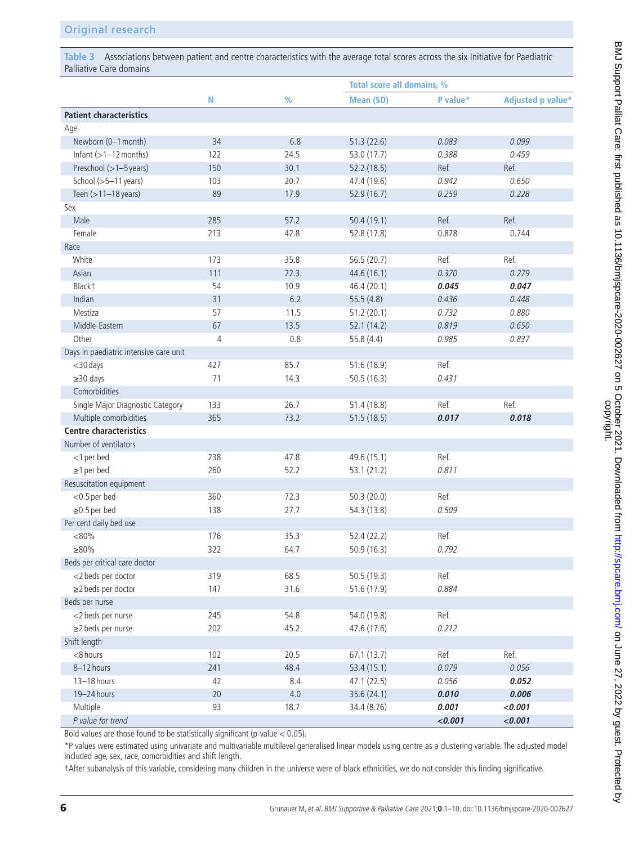<span id="page-5-0"></span>**Table 3** Associations between patient and centre characteristics with the average total scores across the six Initiative for Paediatric Palliative Care domains

|                                        |                |               | Total score all domains, % |          |                   |  |  |
|----------------------------------------|----------------|---------------|----------------------------|----------|-------------------|--|--|
|                                        | N              | $\frac{0}{0}$ | <b>Mean (SD)</b>           | P value* | Adjusted p value* |  |  |
| <b>Patient characteristics</b>         |                |               |                            |          |                   |  |  |
| Age                                    |                |               |                            |          |                   |  |  |
| Newborn (0-1 month)                    | 34             | 6.8           | 51.3(22.6)                 | 0.083    | 0.099             |  |  |
| Infant $(>=1 - 12$ months)             | 122            | 24.5          | 53.0 (17.7)                | 0.388    | 0.459             |  |  |
| Preschool (>1-5 years)                 | 150            | 30.1          | 52.2 (18.5)                | Ref.     | Ref.              |  |  |
| School (>5-11 years)                   | 103            | 20.7          | 47.4 (19.6)                | 0.942    | 0.650             |  |  |
| Teen (>11-18 years)                    | 89             | 17.9          | 52.9 (16.7)                | 0.259    | 0.228             |  |  |
| Sex                                    |                |               |                            |          |                   |  |  |
| Male                                   | 285            | 57.2          | 50.4 (19.1)                | Ref.     | Ref.              |  |  |
| Female                                 | 213            | 42.8          | 52.8 (17.8)                | 0.878    | 0.744             |  |  |
| Race                                   |                |               |                            |          |                   |  |  |
| White                                  | 173            | 35.8          | 56.5 (20.7)                | Ref.     | Ref.              |  |  |
| Asian                                  | 111            | 22.3          | 44.6 (16.1)                | 0.370    | 0.279             |  |  |
| Black <sup>+</sup>                     | 54             | 10.9          | 46.4 (20.1)                | 0.045    | 0.047             |  |  |
| Indian                                 | 31             | 6.2           | 55.5 (4.8)                 | 0.436    | 0.448             |  |  |
| Mestiza                                | 57             | 11.5          | 51.2(20.1)                 | 0.732    | 0.880             |  |  |
| Middle-Eastern                         | 67             | 13.5          | 52.1 (14.2)                | 0.819    | 0.650             |  |  |
| Other                                  | $\overline{4}$ | 0.8           | 55.8 (4.4)                 | 0.985    | 0.837             |  |  |
| Days in paediatric intensive care unit |                |               |                            |          |                   |  |  |
| <30 days                               | 427            | 85.7          | 51.6 (18.9)                | Ref.     |                   |  |  |
| $\geq$ 30 days                         | 71             | 14.3          | 50.5(16.3)                 | 0.431    |                   |  |  |
| Comorbidities                          |                |               |                            |          |                   |  |  |
| Single Major Diagnostic Category       | 133            | 26.7          | 51.4 (18.8)                | Ref.     | Ref.              |  |  |
| Multiple comorbidities                 | 365            | 73.2          | 51.5(18.5)                 | 0.017    | 0.018             |  |  |
| <b>Centre characteristics</b>          |                |               |                            |          |                   |  |  |
| Number of ventilators                  |                |               |                            |          |                   |  |  |
| <1 per bed                             | 238            | 47.8          | 49.6 (15.1)                | Ref.     |                   |  |  |
| $\geq$ 1 per bed                       | 260            | 52.2          | 53.1 (21.2)                | 0.811    |                   |  |  |
| Resuscitation equipment                |                |               |                            |          |                   |  |  |
| $<$ 0.5 per bed                        | 360            | 72.3          | 50.3 (20.0)                | Ref.     |                   |  |  |
| $\geq$ 0.5 per bed                     | 138            | 27.7          |                            | 0.509    |                   |  |  |
| Per cent daily bed use                 |                |               | 54.3 (13.8)                |          |                   |  |  |
|                                        |                |               |                            |          |                   |  |  |
| < 80%                                  | 176            | 35.3          | 52.4 (22.2)                | Ref.     |                   |  |  |
| $\geq 80\%$                            | 322            | 64.7          | 50.9 (16.3)                | 0.792    |                   |  |  |
| Beds per critical care doctor          |                |               |                            |          |                   |  |  |
| <2 beds per doctor                     | 319            | 68.5          | 50.5 (19.3)                | Ref.     |                   |  |  |
| ≥2 beds per doctor                     | 147            | 31.6          | 51.6 (17.9)                | 0.884    |                   |  |  |
| Beds per nurse                         |                |               |                            |          |                   |  |  |
| <2 beds per nurse                      | 245            | 54.8          | 54.0 (19.8)                | Ref.     |                   |  |  |
| ≥2 beds per nurse                      | 202            | 45.2          | 47.6 (17.6)                | 0.212    |                   |  |  |
| Shift length                           |                |               |                            |          |                   |  |  |
| <8 hours                               | 102            | 20.5          | 67.1(13.7)                 | Ref.     | Ref.              |  |  |
| 8-12 hours                             | 241            | 48.4          | 53.4 (15.1)                | 0.079    | 0.056             |  |  |
| 13-18 hours                            | 42             | 8.4           | 47.1 (22.5)                | 0.056    | 0.052             |  |  |
| 19-24 hours                            | 20             | $4.0\,$       | 35.6 (24.1)                | 0.010    | 0.006             |  |  |
| Multiple                               | 93             | 18.7          | 34.4 (8.76)                | 0.001    | < 0.001           |  |  |
| P value for trend                      |                |               |                            | < 0.001  | < 0.001           |  |  |

Bold values are those found to be statistically significant (p-value < 0.05).

\*P values were estimated using univariate and multivariable multilevel generalised linear models using centre as a clustering variable. The adjusted model included age, sex, race, comorbidities and shift length.

†After subanalysis of this variable, considering many children in the universe were of black ethnicities, we do not consider this finding significative.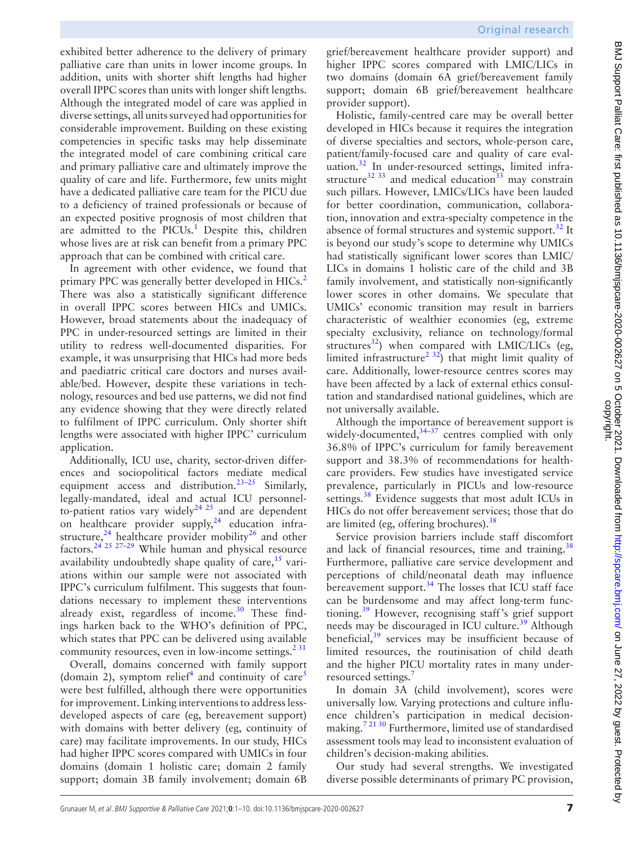exhibited better adherence to the delivery of primary palliative care than units in lower income groups. In addition, units with shorter shift lengths had higher overall IPPC scores than units with longer shift lengths. Although the integrated model of care was applied in diverse settings, all units surveyed had opportunities for considerable improvement. Building on these existing competencies in specific tasks may help disseminate the integrated model of care combining critical care and primary palliative care and ultimately improve the quality of care and life. Furthermore, few units might have a dedicated palliative care team for the PICU due to a deficiency of trained professionals or because of an expected positive prognosis of most children that are admitted to the PICUs.<sup>1</sup> Despite this, children whose lives are at risk can benefit from a primary PPC approach that can be combined with critical care.

In agreement with other evidence, we found that primary PPC was generally better developed in HICs.<sup>[2](#page-8-2)</sup> There was also a statistically significant difference in overall IPPC scores between HICs and UMICs. However, broad statements about the inadequacy of PPC in under-resourced settings are limited in their utility to redress well-documented disparities. For example, it was unsurprising that HICs had more beds and paediatric critical care doctors and nurses available/bed. However, despite these variations in technology, resources and bed use patterns, we did not find any evidence showing that they were directly related to fulfilment of IPPC curriculum. Only shorter shift lengths were associated with higher IPPC' curriculum application.

Additionally, ICU use, charity, sector-driven differences and sociopolitical factors mediate medical equipment access and distribution.<sup>23-25</sup> Similarly, legally-mandated, ideal and actual ICU personnelto-patient ratios vary widely<sup>24 25</sup> and are dependent on healthcare provider supply, $24$  education infrastructure,  $24$  healthcare provider mobility  $26$  and other factors[.24 25 27–29](#page-9-6) While human and physical resource availability undoubtedly shape quality of care,  $15$  variations within our sample were not associated with IPPC's curriculum fulfilment. This suggests that foundations necessary to implement these interventions already exist, regardless of income.<sup>[30](#page-9-8)</sup> These findings harken back to the WHO's definition of PPC, which states that PPC can be delivered using available community resources, even in low-income settings. $2^{31}$ 

Overall, domains concerned with family support (domain 2), symptom relief<sup>4</sup> and continuity of care<sup>[5](#page-8-11)</sup> were best fulfilled, although there were opportunities for improvement. Linking interventions to address lessdeveloped aspects of care (eg, bereavement support) with domains with better delivery (eg, continuity of care) may facilitate improvements. In our study, HICs had higher IPPC scores compared with UMICs in four domains (domain 1 holistic care; domain 2 family support; domain 3B family involvement; domain 6B

grief/bereavement healthcare provider support) and higher IPPC scores compared with LMIC/LICs in two domains (domain 6A grief/bereavement family support; domain 6B grief/bereavement healthcare provider support).

Holistic, family-centred care may be overall better developed in HICs because it requires the integration of diverse specialties and sectors, whole-person care, patient/family-focused care and quality of care eval-uation.<sup>[32](#page-9-9)</sup> In under-resourced settings, limited infrastructure $32\frac{33}{33}$  $32\frac{33}{33}$  $32\frac{33}{33}$  and medical education $33\frac{33}{3}$  may constrain such pillars. However, LMICs/LICs have been lauded for better coordination, communication, collaboration, innovation and extra-specialty competence in the absence of formal structures and systemic support.<sup>[32](#page-9-9)</sup> It is beyond our study's scope to determine why UMICs had statistically significant lower scores than LMIC/ LICs in domains 1 holistic care of the child and 3B family involvement, and statistically non-significantly lower scores in other domains. We speculate that UMICs' economic transition may result in barriers characteristic of wealthier economies (eg, extreme specialty exclusivity, reliance on technology/formal structures<sup>[32](#page-9-9)</sup>) when compared with LMIC/LICs (eg, limited infrastructure<sup>2 32</sup>) that might limit quality of care. Additionally, lower-resource centres scores may have been affected by a lack of external ethics consultation and standardised national guidelines, which are not universally available.

Although the importance of bereavement support is widely-documented, $34-37$  centres complied with only 36.8% of IPPC's curriculum for family bereavement support and 38.3% of recommendations for healthcare providers. Few studies have investigated service prevalence, particularly in PICUs and low-resource settings.<sup>38</sup> Evidence suggests that most adult ICUs in HICs do not offer bereavement services; those that do are limited (eg, offering brochures).<sup>[38](#page-9-12)</sup>

Service provision barriers include staff discomfort and lack of financial resources, time and training.<sup>38</sup> Furthermore, palliative care service development and perceptions of child/neonatal death may influence bereavement support. $34$  The losses that ICU staff face can be burdensome and may affect long-term functioning.[39](#page-9-13) However, recognising staff's grief support needs may be discouraged in ICU culture.<sup>39</sup> Although beneficial, $39$  services may be insufficient because of limited resources, the routinisation of child death and the higher PICU mortality rates in many underresourced settings.'

In domain 3A (child involvement), scores were universally low. Varying protections and culture influence children's participation in medical decisionmaking[.7 21 30](#page-8-1) Furthermore, limited use of standardised assessment tools may lead to inconsistent evaluation of children's decision-making abilities.

Our study had several strengths. We investigated diverse possible determinants of primary PC provision,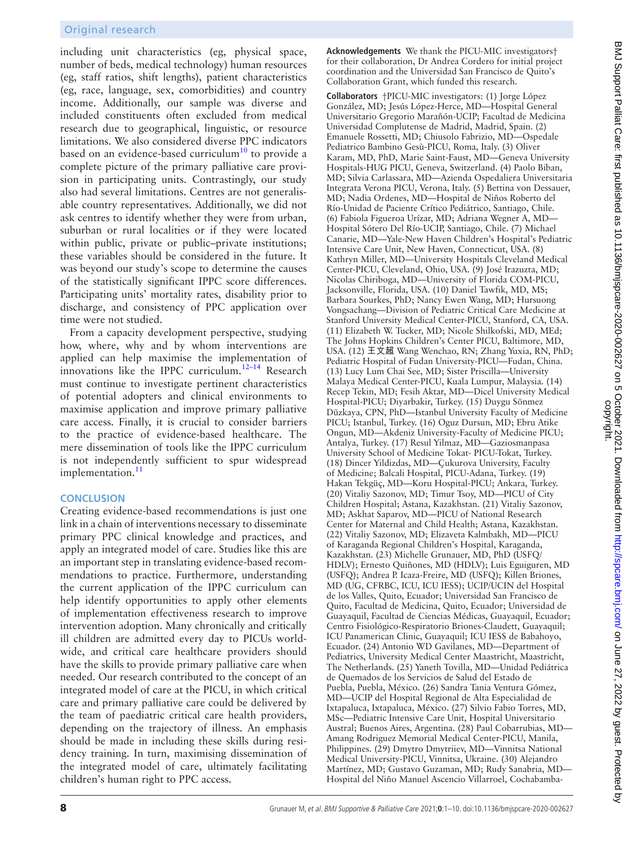including unit characteristics (eg, physical space, number of beds, medical technology) human resources (eg, staff ratios, shift lengths), patient characteristics (eg, race, language, sex, comorbidities) and country income. Additionally, our sample was diverse and included constituents often excluded from medical research due to geographical, linguistic, or resource limitations. We also considered diverse PPC indicators based on an evidence-based curriculum<sup>10</sup> to provide a complete picture of the primary palliative care provision in participating units. Contrastingly, our study also had several limitations. Centres are not generalisable country representatives. Additionally, we did not ask centres to identify whether they were from urban, suburban or rural localities or if they were located within public, private or public–private institutions; these variables should be considered in the future. It was beyond our study's scope to determine the causes of the statistically significant IPPC score differences. Participating units' mortality rates, disability prior to discharge, and consistency of PPC application over time were not studied.

From a capacity development perspective, studying how, where, why and by whom interventions are applied can help maximise the implementation of innovations like the IPPC curriculum.<sup>12–14</sup> Research must continue to investigate pertinent characteristics of potential adopters and clinical environments to maximise application and improve primary palliative care access. Finally, it is crucial to consider barriers to the practice of evidence-based healthcare. The mere dissemination of tools like the IPPC curriculum is not independently sufficient to spur widespread implementation.<sup>[11](#page-8-4)</sup>

# **CONCLUSION**

Creating evidence-based recommendations is just one link in a chain of interventions necessary to disseminate primary PPC clinical knowledge and practices, and apply an integrated model of care. Studies like this are an important step in translating evidence-based recommendations to practice. Furthermore, understanding the current application of the IPPC curriculum can help identify opportunities to apply other elements of implementation effectiveness research to improve intervention adoption. Many chronically and critically ill children are admitted every day to PICUs worldwide, and critical care healthcare providers should have the skills to provide primary palliative care when needed. Our research contributed to the concept of an integrated model of care at the PICU, in which critical care and primary palliative care could be delivered by the team of paediatric critical care health providers, depending on the trajectory of illness. An emphasis should be made in including these skills during residency training. In turn, maximising dissemination of the integrated model of care, ultimately facilitating children's human right to PPC access.

**Acknowledgements** We thank the PICU-MIC investigators† for their collaboration, Dr Andrea Cordero for initial project coordination and the Universidad San Francisco de Quito's Collaboration Grant, which funded this research.

**Collaborators** †PICU-MIC investigators: (1) Jorge López González, MD; Jesús López-Herce, MD—Hospital General Universitario Gregorio Marañón-UCIP; Facultad de Medicina Universidad Complutense de Madrid, Madrid, Spain. (2) Emanuele Rossetti, MD; Chiusolo Fabrizio, MD—Ospedale Pediatrico Bambino Gesù-PICU, Roma, Italy. (3) Oliver Karam, MD, PhD, Marie Saint-Faust, MD—Geneva University Hospitals-HUG PICU, Geneva, Switzerland. (4) Paolo Biban, MD; Silvia Carlassara, MD—Azienda Ospedaliera Universitaria Integrata Verona PICU, Verona, Italy. (5) Bettina von Dessauer, MD; Nadia Ordenes, MD—Hospital de Niños Roberto del Río-Unidad de Paciente Crítico Pediátrico, Santiago, Chile. (6) Fabiola Figueroa Urízar, MD; Adriana Wegner A, MD— Hospital Sótero Del Río-UCIP, Santiago, Chile. (7) Michael Canarie, MD—Yale-New Haven Children's Hospital's Pediatric Intensive Care Unit, New Haven, Connecticut, USA. (8) Kathryn Miller, MD—University Hospitals Cleveland Medical Center-PICU, Cleveland, Ohio, USA. (9) José Irazuzta, MD; Nicolas Chiriboga, MD—University of Florida COM-PICU, Jacksonville, Florida, USA. (10) Daniel Tawfik, MD, MS; Barbara Sourkes, PhD; Nancy Ewen Wang, MD; Hursuong Vongsachang—Division of Pediatric Critical Care Medicine at Stanford University Medical Center-PICU, Stanford, CA, USA. (11) Elizabeth W. Tucker, MD; Nicole Shilkofski, MD, MEd; The Johns Hopkins Children's Center PICU, Baltimore, MD, USA. (12) 王文超 Wang Wenchao, RN; Zhang Yuxia, RN, PhD; Pediatric Hospital of Fudan University-PICU—Fudan, China. (13) Lucy Lum Chai See, MD; Sister Priscilla—University Malaya Medical Center-PICU, Kuala Lumpur, Malaysia. (14) Recep Tekin, MD; Fesih Aktar, MD—Dicel University Medical Hospital-PICU; Diyarbakir, Turkey. (15) Duygu Sönmez Düzkaya, CPN, PhD—Istanbul University Faculty of Medicine PICU; Istanbul, Turkey. (16) Oguz Dursun, MD; Ebru Atike Ongun, MD—Akdeniz University-Faculty of Medicine PICU; Antalya, Turkey. (17) Resul Yilmaz, MD—Gaziosmanpasa University School of Medicine Tokat- PICU-Tokat, Turkey. (18) Dincer Yildizdas, MD—Çukurova University, Faculty of Medicine; Balcali Hospital, PICU-Adana, Turkey. (19) Hakan Tekgüç, MD—Koru Hospital-PICU; Ankara, Turkey. (20) Vitaliy Sazonov, MD; Timur Tsoy, MD—PICU of City Children Hospital; Astana, Kazakhstan. (21) Vitaliy Sazonov, MD; Askhat Saparov, MD—PICU of National Research Center for Maternal and Child Health; Astana, Kazakhstan. (22) Vitaliy Sazonov, MD; Elizaveta Kalmbakh, MD—PICU of Karaganda Regional Children's Hospital, Karaganda, Kazakhstan. (23) Michelle Grunauer, MD, PhD (USFQ/ HDLV); Ernesto Quiñones, MD (HDLV); Luis Eguiguren, MD (USFQ); Andrea P. Icaza-Freire, MD (USFQ); Killen Briones, MD (UG, CFRBC, ICU, ICU IESS); UCIP/UCIN del Hospital de los Valles, Quito, Ecuador; Universidad San Francisco de Quito, Facultad de Medicina, Quito, Ecuador; Universidad de Guayaquil, Facultad de Ciencias Médicas, Guayaquil, Ecuador; Centro Fisiológico-Respiratorio Briones-Claudett, Guayaquil; ICU Panamerican Clinic, Guayaquil; ICU IESS de Babahoyo, Ecuador. (24) Antonio WD Gavilanes, MD—Department of Pediatrics, University Medical Center Maastricht, Maastricht, The Netherlands. (25) Yaneth Tovilla, MD—Unidad Pediátrica de Quemados de los Servicios de Salud del Estado de Puebla, Puebla, México. (26) Sandra Tania Ventura Gómez, MD—UCIP del Hospital Regional de Alta Especialidad de Ixtapaluca, Ixtapaluca, México. (27) Silvio Fabio Torres, MD, MSc—Pediatric Intensive Care Unit, Hospital Universitario Austral; Buenos Aires, Argentina. (28) Paul Cobarrubias, MD— Amang Rodriguez Memorial Medical Center-PICU, Manila, Philippines. (29) Dmytro Dmytriiev, MD—Vinnitsa National Medical University-PICU, Vinnitsa, Ukraine. (30) Alejandro Martínez, MD; Gustavo Guzaman, MD; Rudy Sanabria, MD— Hospital del Niño Manuel Ascencio Villarroel, Cochabamba-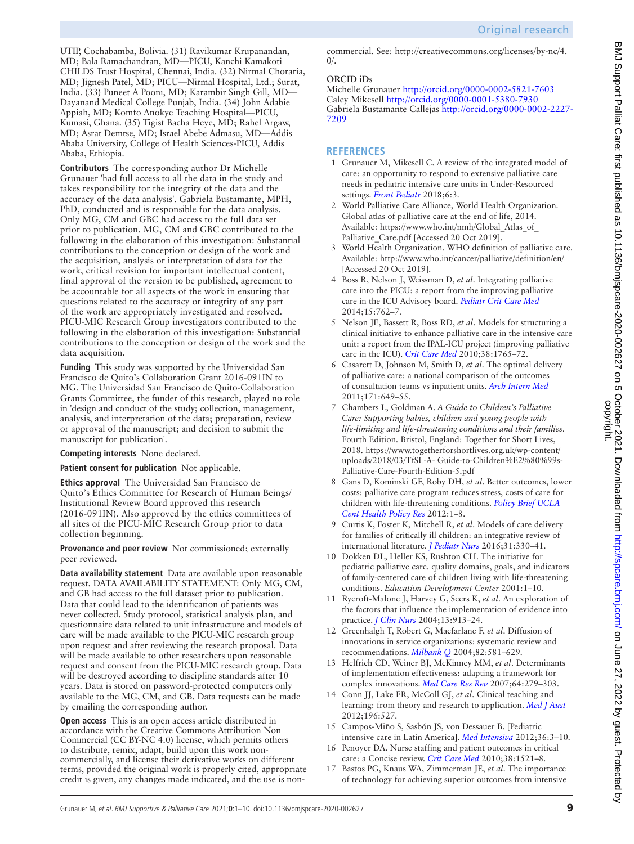UTIP, Cochabamba, Bolivia. (31) Ravikumar Krupanandan, MD; Bala Ramachandran, MD—PICU, Kanchi Kamakoti CHILDS Trust Hospital, Chennai, India. (32) Nirmal Choraria, MD; Jignesh Patel, MD; PICU—Nirmal Hospital, Ltd.; Surat, India. (33) Puneet A Pooni, MD; Karambir Singh Gill, MD— Dayanand Medical College Punjab, India. (34) John Adabie Appiah, MD; Komfo Anokye Teaching Hospital—PICU, Kumasi, Ghana. (35) Tigist Bacha Heye, MD; Rahel Argaw, MD; Asrat Demtse, MD; Israel Abebe Admasu, MD—Addis Ababa University, College of Health Sciences-PICU, Addis Ababa, Ethiopia.

**Contributors** The corresponding author Dr Michelle Grunauer 'had full access to all the data in the study and takes responsibility for the integrity of the data and the accuracy of the data analysis'. Gabriela Bustamante, MPH, PhD, conducted and is responsible for the data analysis. Only MG, CM and GBC had access to the full data set prior to publication. MG, CM and GBC contributed to the following in the elaboration of this investigation: Substantial contributions to the conception or design of the work and the acquisition, analysis or interpretation of data for the work, critical revision for important intellectual content, final approval of the version to be published, agreement to be accountable for all aspects of the work in ensuring that questions related to the accuracy or integrity of any part of the work are appropriately investigated and resolved. PICU-MIC Research Group investigators contributed to the following in the elaboration of this investigation: Substantial contributions to the conception or design of the work and the data acquisition.

**Funding** This study was supported by the Universidad San Francisco de Quito's Collaboration Grant 2016-091IN to MG. The Universidad San Francisco de Quito-Collaboration Grants Committee, the funder of this research, played no role in 'design and conduct of the study; collection, management, analysis, and interpretation of the data; preparation, review or approval of the manuscript; and decision to submit the manuscript for publication'.

# **Competing interests** None declared.

# **Patient consent for publication** Not applicable.

**Ethics approval** The Universidad San Francisco de Quito's Ethics Committee for Research of Human Beings/ Institutional Review Board approved this research (2016-091IN). Also approved by the ethics committees of all sites of the PICU-MIC Research Group prior to data collection beginning.

#### **Provenance and peer review** Not commissioned; externally peer reviewed.

**Data availability statement** Data are available upon reasonable request. DATA AVAILABILITY STATEMENT: Only MG, CM, and GB had access to the full dataset prior to publication. Data that could lead to the identification of patients was never collected. Study protocol, statistical analysis plan, and questionnaire data related to unit infrastructure and models of care will be made available to the PICU-MIC research group upon request and after reviewing the research proposal. Data will be made available to other researchers upon reasonable request and consent from the PICU-MIC research group. Data will be destroyed according to discipline standards after 10 years. Data is stored on password-protected computers only available to the MG, CM, and GB. Data requests can be made by emailing the corresponding author.

**Open access** This is an open access article distributed in accordance with the Creative Commons Attribution Non Commercial (CC BY-NC 4.0) license, which permits others to distribute, remix, adapt, build upon this work noncommercially, and license their derivative works on different terms, provided the original work is properly cited, appropriate credit is given, any changes made indicated, and the use is noncommercial. See: [http://creativecommons.org/licenses/by-nc/4.](http://creativecommons.org/licenses/by-nc/4.0/)  $\Omega$ 

# **ORCID iDs**

Michelle Grunauer <http://orcid.org/0000-0002-5821-7603> Caley Mikesell<http://orcid.org/0000-0001-5380-7930> Gabriela Bustamante Callejas [http://orcid.org/0000-0002-2227-](http://orcid.org/0000-0002-2227-7209) [7209](http://orcid.org/0000-0002-2227-7209)

# **REFERENCES**

- <span id="page-8-0"></span>1 Grunauer M, Mikesell C. A review of the integrated model of care: an opportunity to respond to extensive palliative care needs in pediatric intensive care units in Under-Resourced settings. *[Front Pediatr](http://dx.doi.org/10.3389/fped.2018.00003)* 2018;6:3.
- <span id="page-8-2"></span>2 World Palliative Care Alliance, World Health Organization. Global atlas of palliative care at the end of life, 2014. Available: [https://www.who.int/nmh/Global\\_Atlas\\_of\\_](https://www.who.int/nmh/Global_Atlas_of_Palliative_Care.pdf) Palliative Care.pdf [Accessed 20 Oct 2019].
- 3 World Health Organization. WHO definition of palliative care. Available:<http://www.who.int/cancer/palliative/definition/en/> [Accessed 20 Oct 2019].
- <span id="page-8-10"></span>4 Boss R, Nelson J, Weissman D, *et al*. Integrating palliative care into the PICU: a report from the improving palliative care in the ICU Advisory board. *[Pediatr Crit Care Med](http://dx.doi.org/10.1097/PCC.0000000000000209)* 2014;15:762–7.
- <span id="page-8-11"></span>5 Nelson JE, Bassett R, Boss RD, *et al*. Models for structuring a clinical initiative to enhance palliative care in the intensive care unit: a report from the IPAL-ICU project (improving palliative care in the ICU). *[Crit Care Med](http://dx.doi.org/10.1097/CCM.0b013e3181e8ad23)* 2010;38:1765–72.
- 6 Casarett D, Johnson M, Smith D, *et al*. The optimal delivery of palliative care: a national comparison of the outcomes of consultation teams vs inpatient units. *[Arch Intern Med](http://dx.doi.org/10.1001/archinternmed.2011.87)* 2011;171:649–55.
- <span id="page-8-1"></span>7 Chambers L, Goldman A. *A Guide to Children's Palliative Care: Supporting babies, children and young people with life-limiting and life-threatening conditions and their families*. Fourth Edition. Bristol, England: Together for Short Lives, 2018. [https://www.togetherforshortlives.org.uk/wp-content/](https://www.togetherforshortlives.org.uk/wp-content/uploads/2018/03/TfSL-A-%20Guide-to-Children%E2%80%99s-Palliative-Care-Fourth-Edition-5.pdf) [uploads/2018/03/TfSL-A- Guide-to-Children%E2%80%99s-](https://www.togetherforshortlives.org.uk/wp-content/uploads/2018/03/TfSL-A-%20Guide-to-Children%E2%80%99s-Palliative-Care-Fourth-Edition-5.pdf)[Palliative-Care-Fourth-Edition-5.pdf](https://www.togetherforshortlives.org.uk/wp-content/uploads/2018/03/TfSL-A-%20Guide-to-Children%E2%80%99s-Palliative-Care-Fourth-Edition-5.pdf)
- 8 Gans D, Kominski GF, Roby DH, *et al*. Better outcomes, lower costs: palliative care program reduces stress, costs of care for children with life-threatening conditions. *[Policy Brief UCLA](http://www.ncbi.nlm.nih.gov/pubmed/22946141)  [Cent Health Policy Res](http://www.ncbi.nlm.nih.gov/pubmed/22946141)* 2012:1–8.
- 9 Curtis K, Foster K, Mitchell R, *et al*. Models of care delivery for families of critically ill children: an integrative review of international literature. *[J Pediatr Nurs](http://dx.doi.org/10.1016/j.pedn.2015.11.009)* 2016;31:330–41.
- <span id="page-8-3"></span>10 Dokken DL, Heller KS, Rushton CH. The initiative for pediatric palliative care. quality domains, goals, and indicators of family-centered care of children living with life-threatening conditions. *Education Development Center* 2001:1–10.
- <span id="page-8-4"></span>11 Rycroft-Malone J, Harvey G, Seers K, *et al*. An exploration of the factors that influence the implementation of evidence into practice. *[J Clin Nurs](http://dx.doi.org/10.1111/j.1365-2702.2004.01007.x)* 2004;13:913–24.
- <span id="page-8-6"></span>12 Greenhalgh T, Robert G, Macfarlane F, *et al*. Diffusion of innovations in service organizations: systematic review and recommendations. *[Milbank Q](http://dx.doi.org/10.1111/j.0887-378X.2004.00325.x)* 2004;82:581–629.
- <span id="page-8-5"></span>13 Helfrich CD, Weiner BJ, McKinney MM, *et al*. Determinants of implementation effectiveness: adapting a framework for complex innovations. *[Med Care Res Rev](http://dx.doi.org/10.1177/1077558707299887)* 2007;64:279–303.
- <span id="page-8-7"></span>14 Conn JJ, Lake FR, McColl GJ, *et al*. Clinical teaching and learning: from theory and research to application. *[Med J Aust](http://dx.doi.org/10.5694/mja10.11473)* 2012;196:527.
- <span id="page-8-8"></span>15 Campos-Miño S, Sasbón JS, von Dessauer B. [Pediatric intensive care in Latin America]. *[Med Intensiva](http://dx.doi.org/10.1016/j.medine.2012.02.004)* 2012;36:3–10.
- 16 Penoyer DA. Nurse staffing and patient outcomes in critical care: a Concise review. *[Crit Care Med](http://dx.doi.org/10.1097/CCM.0b013e3181e47888)* 2010;38:1521–8.
- <span id="page-8-9"></span>17 Bastos PG, Knaus WA, Zimmerman JE, *et al*. The importance of technology for achieving superior outcomes from intensive